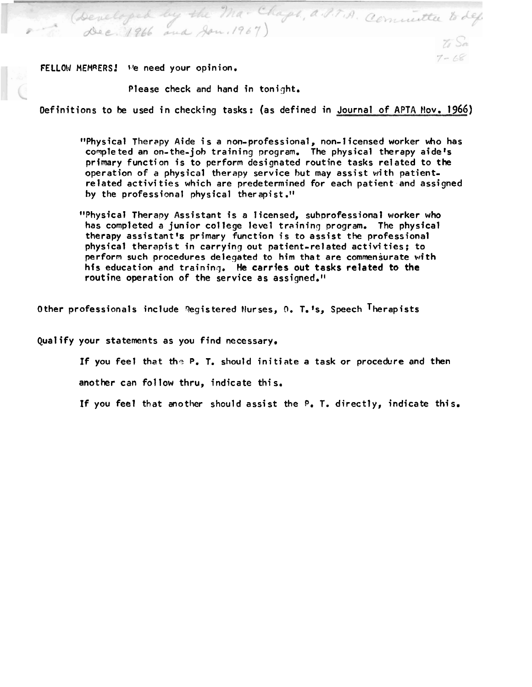FELLOW MEMRERS! **We need your opinion.** 

Please check and hand in tonight.

Definitions to be used in checking tasks: (as defined in Journal of APTA Mov. 1966)

ffphysical Therapy Aide i s a non-professional , non- **1** icensed worker who has cowple ted an on-the-job training program. The physical therapy aide's primary function is to perform designated routine tasks related to the operation of a physical therapy service hut may assist with patientrelated activities which are predetermined for each patient and assigned by the professional physical therapist."

(Developed by the Ma-Chapl., a. P.T.A. Committee to def.

"Physical Therapy Assistant is a **1** icensed, subprofessiona 1 worker who has completed a junior cot lege level traininq program. The physical therapy assis tan t **1s** primary function i s to assist the professional physical therapist in carrying out patient-re1 ated activi ties; to perform such procedures delegated to him that are commensurate with his education and training. He carries out tasks related to the routine operation of the service as assigned."

Other professionals include Registered Nurses, 0. T.'s. Speech <sup>I</sup>herapists

Qualify your statements as you find necessary.

If you feel that the P. T. should initiate a task or procedure and then another can follow thru, indicate this,

If you feel that another should assist the **P.** T. directly, indicate this.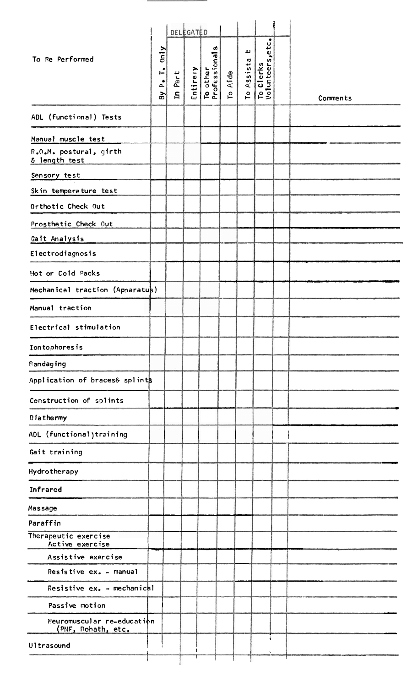|                                                  |                                                                |                      | DELEGATED |                                |           |                      |                              |          |  |
|--------------------------------------------------|----------------------------------------------------------------|----------------------|-----------|--------------------------------|-----------|----------------------|------------------------------|----------|--|
| To Re Performed                                  | 0n1y<br>$\mathbf{L}$<br>$\mathbf{a}^{\bullet}$<br>$\mathbf{B}$ | Part<br>$\mathbf{a}$ | Entirely  | n<br>To other<br>Professionals | Aide<br>p | ىد<br>Assista<br>ro. | To Clerks<br>Volunteers,etc. | Comments |  |
| ADL (functional) Tests                           |                                                                |                      |           |                                |           |                      |                              |          |  |
| Manual muscle test                               |                                                                |                      |           |                                |           |                      |                              |          |  |
| R.O.M. postural, girth<br>& length test          |                                                                |                      |           |                                |           |                      |                              |          |  |
| Sensory test                                     |                                                                |                      |           |                                |           |                      |                              |          |  |
| Skin temperature test                            |                                                                |                      |           |                                |           |                      |                              |          |  |
| Orthotic Check Out                               |                                                                |                      |           |                                |           |                      |                              |          |  |
| Prosthetic Check Out                             |                                                                |                      |           |                                |           |                      |                              |          |  |
| Gait Analysis                                    |                                                                |                      |           |                                |           |                      |                              |          |  |
| Electrodiagnosis                                 |                                                                |                      |           |                                |           |                      |                              |          |  |
| Hot or Cold Packs                                |                                                                |                      |           |                                |           |                      |                              |          |  |
| Mechanical traction (Apparatus)                  |                                                                |                      |           |                                |           |                      |                              |          |  |
| Manual traction                                  |                                                                |                      |           |                                |           |                      |                              |          |  |
| Electrical stimulation                           |                                                                |                      |           |                                |           |                      |                              |          |  |
| Iontophoresis                                    |                                                                |                      |           |                                |           |                      |                              |          |  |
| Pandaging                                        |                                                                |                      |           |                                |           |                      |                              |          |  |
| Application of braces& splints                   |                                                                |                      |           |                                |           |                      |                              |          |  |
| Construction of splints                          |                                                                |                      |           |                                |           |                      |                              |          |  |
| Diathermy                                        |                                                                |                      |           |                                |           |                      |                              |          |  |
| ADL (functional)training                         |                                                                |                      |           |                                |           |                      |                              |          |  |
| Gait training                                    |                                                                |                      |           |                                |           |                      |                              |          |  |
| Hydrotherapy                                     |                                                                |                      |           |                                |           |                      |                              |          |  |
| Infrared                                         |                                                                |                      |           |                                |           |                      |                              |          |  |
| Massage                                          |                                                                |                      |           |                                |           |                      |                              |          |  |
| Paraffin                                         |                                                                |                      |           |                                |           |                      |                              |          |  |
| Therapeutic exercise<br>Active exercise          |                                                                |                      |           |                                |           |                      |                              |          |  |
| Assistive exercise                               |                                                                |                      |           |                                |           |                      |                              |          |  |
| Resistive $ex_{n}$ - manual                      |                                                                |                      |           |                                |           |                      |                              |          |  |
| Resistive $ex_{\bullet}$ - mechanical            |                                                                |                      |           |                                |           |                      |                              |          |  |
| Passive motion                                   |                                                                |                      |           |                                |           |                      |                              |          |  |
| Neuromuscular re-education<br>(PNF, Rohath, etc. |                                                                |                      |           |                                |           |                      |                              |          |  |
| <b>Ultrasound</b>                                |                                                                |                      |           |                                |           |                      |                              |          |  |